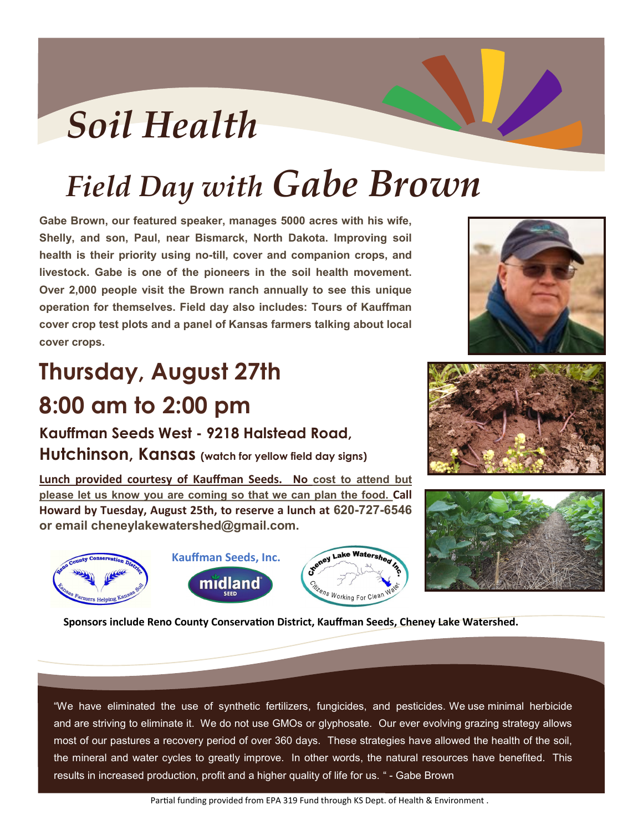## *Soil Health*

## *Field Day with Gabe Brown*

**Gabe Brown, our featured speaker, manages 5000 acres with his wife, Shelly, and son, Paul, near Bismarck, North Dakota. Improving soil health is their priority using no-till, cover and companion crops, and livestock. Gabe is one of the pioneers in the soil health movement. Over 2,000 people visit the Brown ranch annually to see this unique operation for themselves. Field day also includes: Tours of Kauffman cover crop test plots and a panel of Kansas farmers talking about local cover crops.**

## Ist<br>. **Thursday, August 27th 8:00 am to 2:00 pm**

**Kauffman Seeds West - 9218 Halstead Road,** 

**Hutchinson, Kansas (watch for yellow field day signs)**

**Lunch provided courtesy of Kauffman Seeds. No cost to attend but please let us know you are coming so that we can plan the food. Call Howard by Tuesday, August 25th, to reserve a lunch at 620-727-6546 or email cheneylakewatershed@gmail.com.** 











**Sponsors include Reno County Conservation District, Kauffman Seeds, Cheney Lake Watershed.** 

"We have eliminated the use of synthetic fertilizers, fungicides, and pesticides. We use minimal herbicide and are striving to eliminate it. We do not use GMOs or glyphosate. Our ever evolving grazing strategy allows most of our pastures a recovery period of over 360 days. These strategies have allowed the health of the soil, the mineral and water cycles to greatly improve. In other words, the natural resources have benefited. This results in increased production, profit and a higher quality of life for us. " - Gabe Brown